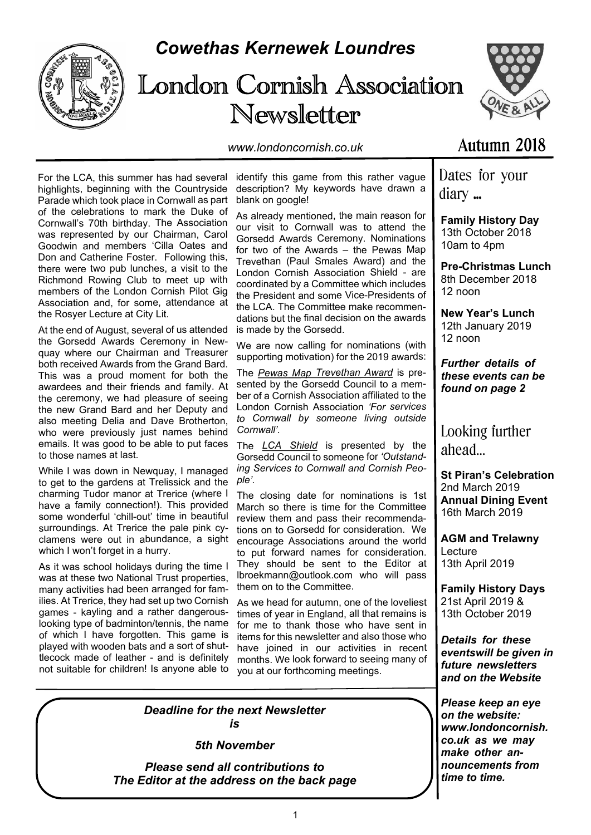

## *Cowethas Kernewek Loundres*

# London Cornish Association Newsletter



*www.londoncornish.co.uk*

### Autumn 2018

For the LCA, this summer has had several highlights, beginning with the Countryside Parade which took place in Cornwall as part of the celebrations to mark the Duke of Cornwall's 70th birthday. The Association was represented by our Chairman, Carol Goodwin and members 'Cilla Oates and Don and Catherine Foster. Following this, there were two pub lunches, a visit to the Richmond Rowing Club to meet up with members of the London Cornish Pilot Gig Association and, for some, attendance at the Rosyer Lecture at City Lit.

At the end of August, several of us attended the Gorsedd Awards Ceremony in Newquay where our Chairman and Treasurer both received Awards from the Grand Bard. This was a proud moment for both the awardees and their friends and family. At the ceremony, we had pleasure of seeing the new Grand Bard and her Deputy and also meeting Delia and Dave Brotherton, who were previously just names behind emails. It was good to be able to put faces to those names at last.

While I was down in Newquay, I managed to get to the gardens at Trelissick and the charming Tudor manor at Trerice (where I have a family connection!). This provided some wonderful 'chill-out' time in beautiful surroundings. At Trerice the pale pink cyclamens were out in abundance, a sight which I won't forget in a hurry.

As it was school holidays during the time I was at these two National Trust properties, many activities had been arranged for families. At Trerice, they had set up two Cornish games - kayling and a rather dangerouslooking type of badminton/tennis, the name of which I have forgotten. This game is played with wooden bats and a sort of shuttlecock made of leather - and is definitely not suitable for children! Is anyone able to

identify this game from this rather vague description? My keywords have drawn a blank on google!

As already mentioned, the main reason for our visit to Cornwall was to attend the Gorsedd Awards Ceremony. Nominations for two of the Awards – the Pewas Map Trevethan (Paul Smales Award) and the London Cornish Association Shield - are coordinated by a Committee which includes the President and some Vice-Presidents of the LCA. The Committee make recommendations but the final decision on the awards is made by the Gorsedd.

We are now calling for nominations (with supporting motivation) for the 2019 awards:

The *Pewas Map Trevethan Award* is presented by the Gorsedd Council to a member of a Cornish Association affiliated to the London Cornish Association *'For services to Cornwall by someone living outside Cornwall'.*

The *LCA Shield* is presented by the Gorsedd Council to someone for *'Outstanding Services to Cornwall and Cornish People'.*

The closing date for nominations is 1st March so there is time for the Committee review them and pass their recommendations on to Gorsedd for consideration. We encourage Associations around the world to put forward names for consideration. They should be sent to the Editor at lbroekmann@outlook.com who will pass them on to the Committee.

As we head for autumn, one of the loveliest times of year in England, all that remains is for me to thank those who have sent in items for this newsletter and also those who have joined in our activities in recent months. We look forward to seeing many of you at our forthcoming meetings.

*Deadline for the next Newsletter is*

*5th November*

*Please send all contributions to The Editor at the address on the back page* Dates for your diary ...

**Family History Day** 13th October 2018 10am to 4pm

**Pre-Christmas Lunch** 8th December 2018 12 noon

**New Year's Lunch** 12th January 2019 12 noon

*Further details of these events can be found on page 2*

Looking further ahead…

**St Piran's Celebration** 2nd March 2019 **Annual Dining Event** 16th March 2019

**AGM and Trelawny** Lecture 13th April 2019

**Family History Days** 21st April 2019 & 13th October 2019

*Details for these eventswill be given in future newsletters and on the Website*

*Please keep an eye on the website: www.londoncornish. co.uk as we may make other announcements from time to time.*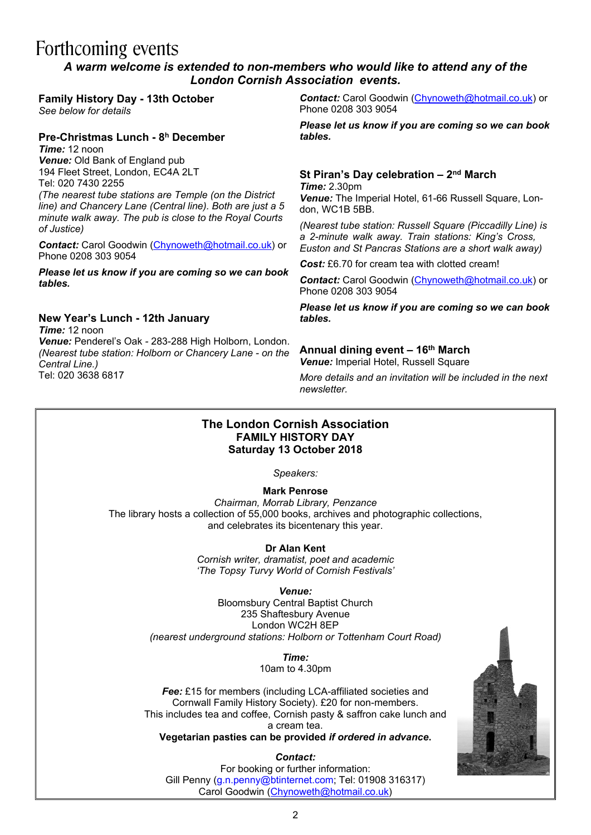### Forthcoming events

#### *A warm welcome is extended to non-members who would like to attend any of the London Cornish Association events.*

#### **Family History Day - 13th October** *See below for details*

#### **Pre-Christmas Lunch - 8<sup>h</sup> December** *Time:* 12 noon

*Venue:* Old Bank of England pub 194 Fleet Street, London, EC4A 2LT Tel: 020 7430 2255 *(The nearest tube stations are Temple (on the District line) and Chancery Lane (Central line). Both are just a 5*

*minute walk away. The pub is close to the Royal Courts of Justice)*

*Contact:* Carol Goodwin (Chynoweth@hotmail.co.uk) or Phone 0208 303 9054

*Please let us know if you are coming so we can book tables.*

#### **New Year's Lunch - 12th January**

*Time:* 12 noon *Venue:* Penderel's Oak *-* 283-288 High Holborn, London. *(Nearest tube station: Holborn or Chancery Lane - on the Central Line.)* Tel: 020 3638 6817

*Contact:* Carol Goodwin (Chynoweth@hotmail.co.uk) or Phone 0208 303 9054

*Please let us know if you are coming so we can book tables.*

### **St Piran's Day celebration – 2nd March**

*Time:* 2.30pm *Venue:* The Imperial Hotel, 61-66 Russell Square, London, WC1B 5BB.

*(Nearest tube station: Russell Square (Piccadilly Line) is a 2-minute walk away. Train stations: King's Cross, Euston and St Pancras Stations are a short walk away)*

*Cost:* £6.70 for cream tea with clotted cream!

*Contact:* Carol Goodwin (Chynoweth@hotmail.co.uk) or Phone 0208 303 9054

*Please let us know if you are coming so we can book tables.*

#### **Annual dining event – 16th March Venue:** Imperial Hotel, Russell Square

*More details and an invitation will be included in the next newsletter.*

#### **The London Cornish Association FAMILY HISTORY DAY Saturday 13 October 2018**

*Speakers:*

**Mark Penrose**

*Chairman, Morrab Library, Penzance* The library hosts a collection of 55,000 books, archives and photographic collections, and celebrates its bicentenary this year.

#### **Dr Alan Kent**

*Cornish writer, dramatist, poet and academic 'The Topsy Turvy World of Cornish Festivals'*

*Venue:*

Bloomsbury Central Baptist Church 235 Shaftesbury Avenue London WC2H 8EP *(nearest underground stations: Holborn or Tottenham Court Road)*

> *Time:* 10am to 4.30pm

*Fee:* £15 for members (including LCA-affiliated societies and Cornwall Family History Society). £20 for non-members. This includes tea and coffee, Cornish pasty & saffron cake lunch and a cream tea.

**Vegetarian pasties can be provided** *if ordered in advance***.**

*Contact:*

For booking or further information: Gill Penny (g.n.penny@btinternet.com; Tel: 01908 316317) Carol Goodwin (Chynoweth@hotmail.co.uk)

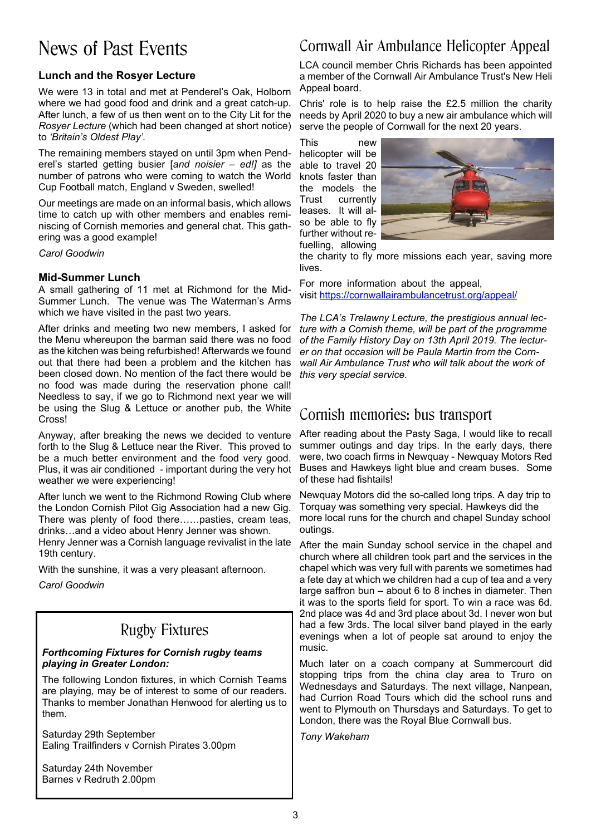# News of Past Events

#### **Lunch and the Rosyer Lecture**

We were 13 in total and met at Penderel's Oak, Holborn where we had good food and drink and a great catch-up. After lunch, a few of us then went on to the City Lit for the *Rosyer Lecture* (which had been changed at short notice) to *'Britain's Oldest Play'.*

The remaining members stayed on until 3pm when Penderel's started getting busier [*and noisier – ed!]* as the number of patrons who were coming to watch the World Cup Football match, England v Sweden, swelled!

Our meetings are made on an informal basis, which allows time to catch up with other members and enables reminiscing of Cornish memories and general chat. This gathering was a good example!

*Carol Goodwin*

#### **Mid-Summer Lunch**

A small gathering of 11 met at Richmond for the Mid-Summer Lunch. The venue was The Waterman's Arms which we have visited in the past two years.

After drinks and meeting two new members, I asked for the Menu whereupon the barman said there was no food as the kitchen was being refurbished! Afterwards we found out that there had been a problem and the kitchen has been closed down. No mention of the fact there would be no food was made during the reservation phone call! Needless to say, if we go to Richmond next year we will be using the Slug & Lettuce or another pub, the White Cross!

Anyway, after breaking the news we decided to venture forth to the Slug & Lettuce near the River. This proved to be a much better environment and the food very good. Plus, it was air conditioned - important during the very hot weather we were experiencing!

After lunch we went to the Richmond Rowing Club where the London Cornish Pilot Gig Association had a new Gig. There was plenty of food there……pasties, cream teas, drinks…and a video about Henry Jenner was shown.

Henry Jenner was a Cornish language revivalist in the late 19th century.

With the sunshine, it was a very pleasant afternoon.

*Carol Goodwin*

### Rugby Fixtures

#### *Forthcoming Fixtures for Cornish rugby teams playing in Greater London:*

The following London fixtures, in which Cornish Teams are playing, may be of interest to some of our readers. Thanks to member Jonathan Henwood for alerting us to them.

Saturday 29th September Ealing Trailfinders v Cornish Pirates 3.00pm

Saturday 24th November Barnes v Redruth 2.00pm

### Cornwall Air Ambulance Helicopter Appeal

LCA council member Chris Richards has been appointed a member of the Cornwall Air Ambulance Trust's New Heli Appeal board.

Chris' role is to help raise the £2.5 million the charity needs by April 2020 to buy a new air ambulance which will serve the people of Cornwall for the next 20 years.

This new helicopter will be able to travel 20 knots faster than the models the Trust currently leases. It will also be able to fly further without refuelling, allowing



the charity to fly more missions each year, saving more lives.

For more information about the appeal, visit https://cornwallairambulancetrust.org/appeal/

*The LCA's Trelawny Lecture, the prestigious annual lecture with a Cornish theme, will be part of the programme of the Family History Day on 13th April 2019. The lecturer on that occasion will be Paula Martin from the Cornwall Air Ambulance Trust who will talk about the work of this very special service.*

### Cornish memories: bus transport

After reading about the Pasty Saga, I would like to recall summer outings and day trips. In the early days, there were, two coach firms in Newquay - Newquay Motors Red Buses and Hawkeys light blue and cream buses. Some of these had fishtails!

Newquay Motors did the so-called long trips. A day trip to Torquay was something very special. Hawkeys did the more local runs for the church and chapel Sunday school outings.

After the main Sunday school service in the chapel and church where all children took part and the services in the chapel which was very full with parents we sometimes had a fete day at which we children had a cup of tea and a very large saffron bun – about 6 to 8 inches in diameter. Then it was to the sports field for sport. To win a race was 6d. 2nd place was 4d and 3rd place about 3d. I never won but had a few 3rds. The local silver band played in the early evenings when a lot of people sat around to enjoy the music.

Much later on a coach company at Summercourt did stopping trips from the china clay area to Truro on Wednesdays and Saturdays. The next village, Nanpean, had Currion Road Tours which did the school runs and went to Plymouth on Thursdays and Saturdays. To get to London, there was the Royal Blue Cornwall bus.

*Tony Wakeham*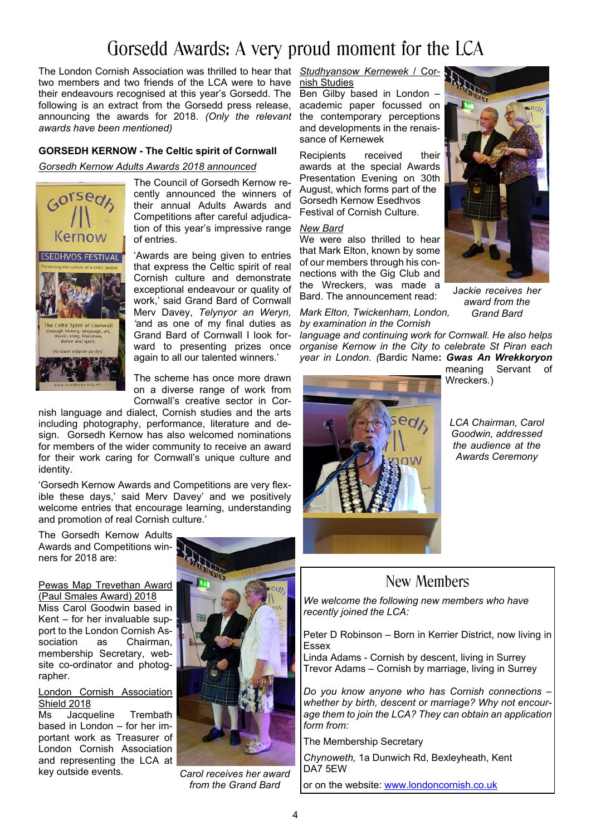# Gorsedd Awards: A very proud moment for the LCA

The London Cornish Association was thrilled to hear that *Studhyansow Kernewek* / Cortwo members and two friends of the LCA were to have nish Studies their endeavours recognised at this year's Gorsedd. The following is an extract from the Gorsedd press release, announcing the awards for 2018. *(Only the relevant awards have been mentioned)*

#### **GORSEDH KERNOW - The Celtic spirit of Cornwall**

#### *Gorsedh Kernow Adults Awards 2018 announced*



The Council of Gorsedh Kernow recently announced the winners of their annual Adults Awards and Competitions after careful adjudication of this year's impressive range of entries.

'Awards are being given to entries that express the Celtic spirit of real Cornish culture and demonstrate exceptional endeavour or quality of work,' said Grand Bard of Cornwall Merv Davey, *Telynyor an Weryn, '*and as one of my final duties as Grand Bard of Cornwall I look forward to presenting prizes once again to all our talented winners.'

The scheme has once more drawn on a diverse range of work from Cornwall's creative sector in Cor-

nish language and dialect, Cornish studies and the arts including photography, performance, literature and design. Gorsedh Kernow has also welcomed nominations for members of the wider community to receive an award for their work caring for Cornwall's unique culture and identity.

'Gorsedh Kernow Awards and Competitions are very flexible these days,' said Merv Davey' and we positively welcome entries that encourage learning, understanding and promotion of real Cornish culture.'

The Gorsedh Kernow Adults Awards and Competitions winners for 2018 are:

Pewas Map Trevethan Award (Paul Smales Award) 2018 Miss Carol Goodwin based in Kent – for her invaluable support to the London Cornish Association as Chairman, membership Secretary, website co-ordinator and photographer.

London Cornish Association Shield 2018

Ms Jacqueline Trembath based in London – for her important work as Treasurer of London Cornish Association and representing the LCA at key outside events.



*Carol receives her award from the Grand Bard*

Ben Gilby based in London – academic paper focussed on the contemporary perceptions and developments in the renaissance of Kernewek

Recipients received their awards at the special Awards Presentation Evening on 30th August, which forms part of the Gorsedh Kernow Esedhvos Festival of Cornish Culture.

#### *New Bard*

We were also thrilled to hear that Mark Elton, known by some of our members through his connections with the Gig Club and the Wreckers, was made a Bard. The announcement read:

*Mark Elton, Twickenham, London, by examination in the Cornish*

*language and continuing work for Cornwall. He also helps organise Kernow in the City to celebrate St Piran each year in London. (*Bardic Name**:** *Gwas An Wrekkoryon*





J*ackie receives her award from the Grand Bard*

meaning Servant of Wreckers.)

*LCA Chairman, Carol Goodwin, addressed the audience at the Awards Ceremony*

### New Members

*We welcome the following new members who have recently joined the LCA:*

Peter D Robinson – Born in Kerrier District, now living in Essex

Linda Adams - Cornish by descent, living in Surrey Trevor Adams – Cornish by marriage, living in Surrey

*Do you know anyone who has Cornish connections – whether by birth, descent or marriage? Why not encourage them to join the LCA? They can obtain an application form from:*

The Membership Secretary

*Chynoweth,* 1a Dunwich Rd, Bexleyheath, Kent DA7 5EW

or on the website: www.londoncornish.co.uk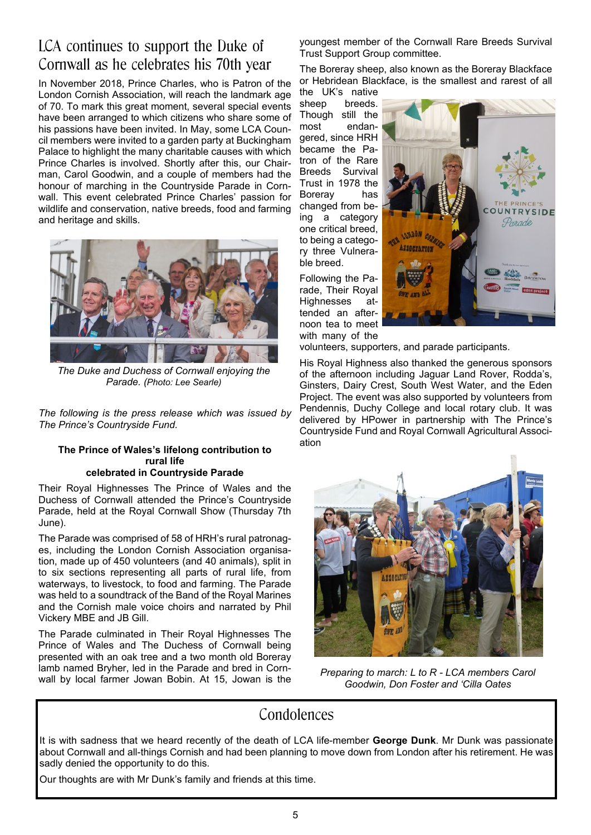### LCA continues to support the Duke of Cornwall as he celebrates his 70th year

In November 2018, Prince Charles, who is Patron of the London Cornish Association, will reach the landmark age of 70. To mark this great moment, several special events have been arranged to which citizens who share some of his passions have been invited. In May, some LCA Council members were invited to a garden party at Buckingham Palace to highlight the many charitable causes with which Prince Charles is involved. Shortly after this, our Chairman, Carol Goodwin, and a couple of members had the honour of marching in the Countryside Parade in Cornwall. This event celebrated Prince Charles' passion for wildlife and conservation, native breeds, food and farming and heritage and skills.



*The Duke and Duchess of Cornwall enjoying the Parade. (Photo: Lee Searle)*

*The following is the press release which was issued by The Prince's Countryside Fund.*

#### **The Prince of Wales's lifelong contribution to rural life celebrated in Countryside Parade**

Their Royal Highnesses The Prince of Wales and the Duchess of Cornwall attended the Prince's Countryside Parade, held at the Royal Cornwall Show (Thursday 7th June).

The Parade was comprised of 58 of HRH's rural patronages, including the London Cornish Association organisation, made up of 450 volunteers (and 40 animals), split in to six sections representing all parts of rural life, from waterways, to livestock, to food and farming. The Parade was held to a soundtrack of the Band of the Royal Marines and the Cornish male voice choirs and narrated by Phil Vickery MBE and JB Gill.

The Parade culminated in Their Royal Highnesses The Prince of Wales and The Duchess of Cornwall being presented with an oak tree and a two month old Boreray lamb named Bryher, led in the Parade and bred in Cornwall by local farmer Jowan Bobin. At 15, Jowan is the

youngest member of the Cornwall Rare Breeds Survival Trust Support Group committee.

The Boreray sheep, also known as the Boreray Blackface or Hebridean Blackface, is the smallest and rarest of all

the UK's native sheep breeds. Though still the most endangered, since HRH became the Patron of the Rare Breeds Survival Trust in 1978 the Boreray has changed from being a category one critical breed, to being a category three Vulnerable breed.

Following the Parade, Their Royal Highnesses attended an afternoon tea to meet with many of the



volunteers, supporters, and parade participants.

His Royal Highness also thanked the generous sponsors of the afternoon including Jaguar Land Rover, Rodda's, Ginsters, Dairy Crest, South West Water, and the Eden Project. The event was also supported by volunteers from Pendennis, Duchy College and local rotary club. It was delivered by HPower in partnership with The Prince's Countryside Fund and Royal Cornwall Agricultural Association



*Preparing to march: L to R - LCA members Carol Goodwin, Don Foster and 'Cilla Oates*

### Condolences

It is with sadness that we heard recently of the death of LCA life-member **George Dunk**. Mr Dunk was passionate about Cornwall and all-things Cornish and had been planning to move down from London after his retirement. He was sadly denied the opportunity to do this.

Our thoughts are with Mr Dunk's family and friends at this time.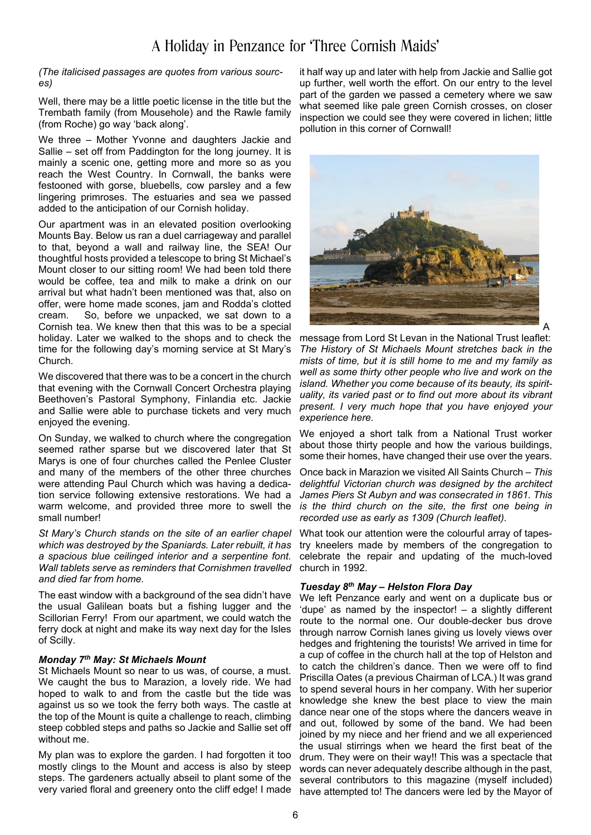#### *(The italicised passages are quotes from various sources)*

Well, there may be a little poetic license in the title but the Trembath family (from Mousehole) and the Rawle family (from Roche) go way 'back along'.

We three – Mother Yvonne and daughters Jackie and Sallie – set off from Paddington for the long journey. It is mainly a scenic one, getting more and more so as you reach the West Country. In Cornwall, the banks were festooned with gorse, bluebells, cow parsley and a few lingering primroses. The estuaries and sea we passed added to the anticipation of our Cornish holiday.

Our apartment was in an elevated position overlooking Mounts Bay. Below us ran a duel carriageway and parallel to that, beyond a wall and railway line, the SEA! Our thoughtful hosts provided a telescope to bring St Michael's Mount closer to our sitting room! We had been told there would be coffee, tea and milk to make a drink on our arrival but what hadn't been mentioned was that, also on offer, were home made scones, jam and Rodda's clotted cream. So, before we unpacked, we sat down to a Cornish tea. We knew then that this was to be a special holiday. Later we walked to the shops and to check the time for the following day's morning service at St Mary's Church.

We discovered that there was to be a concert in the church that evening with the Cornwall Concert Orchestra playing Beethoven's Pastoral Symphony, Finlandia etc. Jackie and Sallie were able to purchase tickets and very much enjoyed the evening.

On Sunday, we walked to church where the congregation seemed rather sparse but we discovered later that St Marys is one of four churches called the Penlee Cluster and many of the members of the other three churches were attending Paul Church which was having a dedication service following extensive restorations. We had a warm welcome, and provided three more to swell the small number!

*St Mary's Church stands on the site of an earlier chapel which was destroyed by the Spaniards. Later rebuilt, it has a spacious blue ceilinged interior and a serpentine font. Wall tablets serve as reminders that Cornishmen travelled and died far from home.*

The east window with a background of the sea didn't have the usual Galilean boats but a fishing lugger and the Scillorian Ferry! From our apartment, we could watch the ferry dock at night and make its way next day for the Isles of Scilly.

#### *Monday 7th May: St Michaels Mount*

St Michaels Mount so near to us was, of course, a must. We caught the bus to Marazion, a lovely ride. We had hoped to walk to and from the castle but the tide was against us so we took the ferry both ways. The castle at the top of the Mount is quite a challenge to reach, climbing steep cobbled steps and paths so Jackie and Sallie set off without me.

My plan was to explore the garden. I had forgotten it too mostly clings to the Mount and access is also by steep steps. The gardeners actually abseil to plant some of the very varied floral and greenery onto the cliff edge! I made have attempted to! The dancers were led by the Mayor of

it half way up and later with help from Jackie and Sallie got up further, well worth the effort. On our entry to the level part of the garden we passed a cemetery where we saw what seemed like pale green Cornish crosses, on closer inspection we could see they were covered in lichen; little pollution in this corner of Cornwall!



message from Lord St Levan in the National Trust leaflet: *The History of St Michaels Mount stretches back in the mists of time, but it is still home to me and my family as well as some thirty other people who live and work on the island. Whether you come because of its beauty, its spirituality, its varied past or to find out more about its vibrant present. I very much hope that you have enjoyed your experience here.*

A

We enjoyed a short talk from a National Trust worker about those thirty people and how the various buildings, some their homes, have changed their use over the years.

Once back in Marazion we visited All Saints Church – *This delightful Victorian church was designed by the architect James Piers St Aubyn and was consecrated in 1861. This is the third church on the site, the first one being in recorded use as early as 1309 (Church leaflet).*

What took our attention were the colourful array of tapestry kneelers made by members of the congregation to celebrate the repair and updating of the much-loved church in 1992.

#### *Tuesday 8th May – Helston Flora Day*

We left Penzance early and went on a duplicate bus or 'dupe' as named by the inspector! – a slightly different route to the normal one. Our double-decker bus drove through narrow Cornish lanes giving us lovely views over hedges and frightening the tourists! We arrived in time for a cup of coffee in the church hall at the top of Helston and to catch the children's dance. Then we were off to find Priscilla Oates (a previous Chairman of LCA.) It was grand to spend several hours in her company. With her superior knowledge she knew the best place to view the main dance near one of the stops where the dancers weave in and out, followed by some of the band. We had been joined by my niece and her friend and we all experienced the usual stirrings when we heard the first beat of the drum. They were on their way!! This was a spectacle that words can never adequately describe although in the past, several contributors to this magazine (myself included)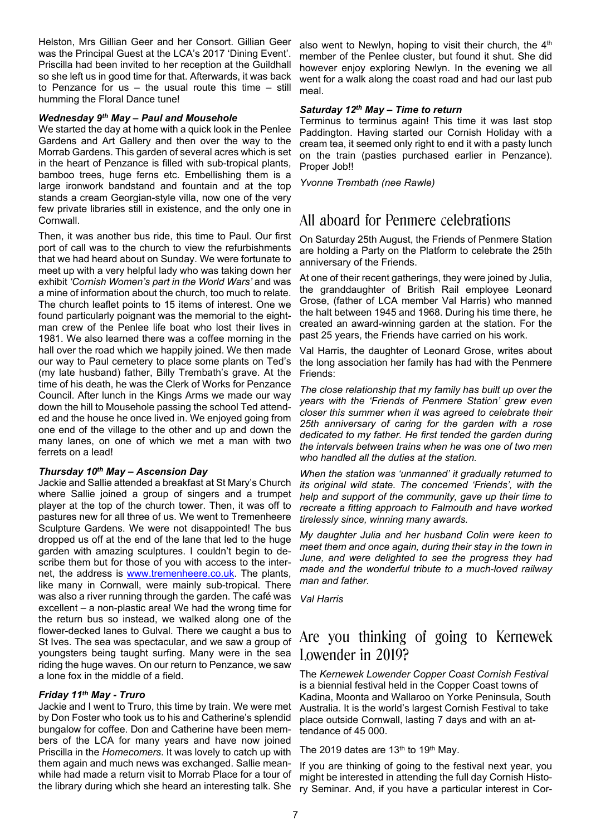Helston, Mrs Gillian Geer and her Consort. Gillian Geer was the Principal Guest at the LCA's 2017 'Dining Event'. Priscilla had been invited to her reception at the Guildhall so she left us in good time for that. Afterwards, it was back to Penzance for us  $-$  the usual route this time  $-$  still humming the Floral Dance tune!

#### *Wednesday 9th May – Paul and Mousehole*

We started the day at home with a quick look in the Penlee Gardens and Art Gallery and then over the way to the Morrab Gardens. This garden of several acres which is set in the heart of Penzance is filled with sub-tropical plants, bamboo trees, huge ferns etc. Embellishing them is a large ironwork bandstand and fountain and at the top stands a cream Georgian-style villa, now one of the very few private libraries still in existence, and the only one in Cornwall.

Then, it was another bus ride, this time to Paul. Our first port of call was to the church to view the refurbishments that we had heard about on Sunday. We were fortunate to meet up with a very helpful lady who was taking down her exhibit *'Cornish Women's part in the World Wars'* and was a mine of information about the church, too much to relate. The church leaflet points to 15 items of interest. One we found particularly poignant was the memorial to the eightman crew of the Penlee life boat who lost their lives in 1981. We also learned there was a coffee morning in the hall over the road which we happily joined. We then made our way to Paul cemetery to place some plants on Ted's (my late husband) father, Billy Trembath's grave. At the time of his death, he was the Clerk of Works for Penzance Council. After lunch in the Kings Arms we made our way down the hill to Mousehole passing the school Ted attended and the house he once lived in. We enjoyed going from one end of the village to the other and up and down the many lanes, on one of which we met a man with two ferrets on a lead!

#### *Thursday 10th May – Ascension Day*

Jackie and Sallie attended a breakfast at St Mary's Church where Sallie joined a group of singers and a trumpet player at the top of the church tower. Then, it was off to pastures new for all three of us. We went to Tremenheere Sculpture Gardens. We were not disappointed! The bus dropped us off at the end of the lane that led to the huge garden with amazing sculptures. I couldn't begin to describe them but for those of you with access to the internet, the address is www.tremenheere.co.uk. The plants, like many in Cornwall, were mainly sub-tropical. There was also a river running through the garden. The café was excellent – a non-plastic area! We had the wrong time for the return bus so instead, we walked along one of the flower-decked lanes to Gulval. There we caught a bus to St Ives. The sea was spectacular, and we saw a group of youngsters being taught surfing. Many were in the sea riding the huge waves. On our return to Penzance, we saw a lone fox in the middle of a field.

#### *Friday 11th May - Truro*

Jackie and I went to Truro, this time by train. We were met by Don Foster who took us to his and Catherine's splendid bungalow for coffee. Don and Catherine have been members of the LCA for many years and have now joined Priscilla in the *Homecomers*. It was lovely to catch up with them again and much news was exchanged. Sallie meanwhile had made a return visit to Morrab Place for a tour of the library during which she heard an interesting talk. She

also went to Newlyn, hoping to visit their church, the  $4<sup>th</sup>$ member of the Penlee cluster, but found it shut. She did however enjoy exploring Newlyn. In the evening we all went for a walk along the coast road and had our last pub meal.

#### *Saturday 12th May – Time to return*

Terminus to terminus again! This time it was last stop Paddington. Having started our Cornish Holiday with a cream tea, it seemed only right to end it with a pasty lunch on the train (pasties purchased earlier in Penzance). Proper Job!!

*Yvonne Trembath (nee Rawle)*

### All aboard for Penmere celebrations

On Saturday 25th August, the Friends of Penmere Station are holding a Party on the Platform to celebrate the 25th anniversary of the Friends.

At one of their recent gatherings, they were joined by Julia, the granddaughter of British Rail employee Leonard Grose, (father of LCA member Val Harris) who manned the halt between 1945 and 1968. During his time there, he created an award-winning garden at the station. For the past 25 years, the Friends have carried on his work.

Val Harris, the daughter of Leonard Grose, writes about the long association her family has had with the Penmere Friends:

*The close relationship that my family has built up over the years with the 'Friends of Penmere Station' grew even closer this summer when it was agreed to celebrate their 25th anniversary of caring for the garden with a rose dedicated to my father. He first tended the garden during the intervals between trains when he was one of two men who handled all the duties at the station.*

*When the station was 'unmanned' it gradually returned to its original wild state. The concerned 'Friends', with the help and support of the community, gave up their time to recreate a fitting approach to Falmouth and have worked tirelessly since, winning many awards.*

*My daughter Julia and her husband Colin were keen to meet them and once again, during their stay in the town in June, and were delighted to see the progress they had made and the wonderful tribute to a much-loved railway man and father.*

*Val Harris*

### Are you thinking of going to Kernewek Lowender in 2019?

The *Kernewek Lowender Copper Coast Cornish Festival* is a biennial festival held in the Copper Coast towns of Kadina, Moonta and Wallaroo on Yorke Peninsula, South Australia. It is the world's largest Cornish Festival to take place outside Cornwall, lasting 7 days and with an attendance of 45 000.

The 2019 dates are  $13<sup>th</sup>$  to 19<sup>th</sup> May.

If you are thinking of going to the festival next year, you might be interested in attending the full day Cornish History Seminar. And, if you have a particular interest in Cor-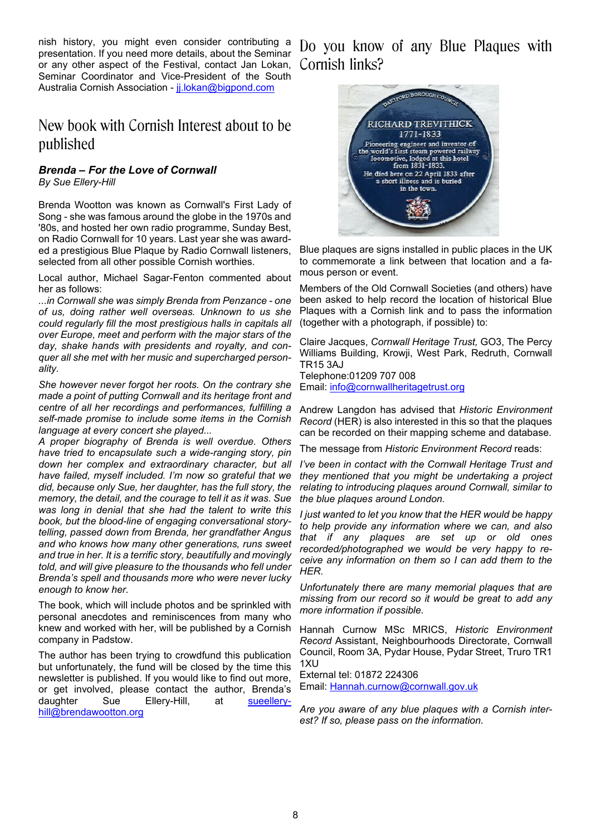nish history, you might even consider contributing a presentation. If you need more details, about the Seminar or any other aspect of the Festival, contact Jan Lokan, Seminar Coordinator and Vice-President of the South Australia Cornish Association - jj.lokan@bigpond.com

### New book with Cornish Interest about to be published

#### *Brenda – For the Love of Cornwall*

*By Sue Ellery-Hill*

Brenda Wootton was known as Cornwall's First Lady of Song - she was famous around the globe in the 1970s and '80s, and hosted her own radio programme, Sunday Best, on Radio Cornwall for 10 years. Last year she was awarded a prestigious Blue Plaque by Radio Cornwall listeners, selected from all other possible Cornish worthies.

Local author, Michael Sagar-Fenton commented about her as follows:

*...in Cornwall she was simply Brenda from Penzance - one of us, doing rather well overseas. Unknown to us she could regularly fill the most prestigious halls in capitals all over Europe, meet and perform with the major stars of the day, shake hands with presidents and royalty, and conquer all she met with her music and supercharged personality.*

*She however never forgot her roots. On the contrary she made a point of putting Cornwall and its heritage front and centre of all her recordings and performances, fulfilling a self-made promise to include some items in the Cornish language at every concert she played...*

*A proper biography of Brenda is well overdue. Others have tried to encapsulate such a wide-ranging story, pin down her complex and extraordinary character, but all have failed, myself included. I'm now so grateful that we did, because only Sue, her daughter, has the full story, the memory, the detail, and the courage to tell it as it was. Sue was long in denial that she had the talent to write this book, but the blood-line of engaging conversational storytelling, passed down from Brenda, her grandfather Angus and who knows how many other generations, runs sweet and true in her. It is a terrific story, beautifully and movingly told, and will give pleasure to the thousands who fell under Brenda's spell and thousands more who were never lucky enough to know her.*

The book, which will include photos and be sprinkled with personal anecdotes and reminiscences from many who knew and worked with her, will be published by a Cornish company in Padstow.

The author has been trying to crowdfund this publication but unfortunately, the fund will be closed by the time this newsletter is published. If you would like to find out more, or get involved, please contact the author, Brenda's daughter Sue Ellery-Hill, at sueelleryhill@brendawootton.org

Do you know of any Blue Plaques with Cornish links?



Blue plaques are signs installed in public places in the UK to commemorate a link between that location and a famous person or event.

Members of the Old Cornwall Societies (and others) have been asked to help record the location of historical Blue Plaques with a Cornish link and to pass the information (together with a photograph, if possible) to:

Claire Jacques, *Cornwall Heritage Trust,* GO3, The Percy Williams Building, Krowji, West Park, Redruth, Cornwall TR15 3AJ

Telephone:01209 707 008 Email: info@cornwallheritagetrust.org

Andrew Langdon has advised that *Historic Environment Record* (HER) is also interested in this so that the plaques can be recorded on their mapping scheme and database.

The message from *Historic Environment Record* reads:

*I've been in contact with the Cornwall Heritage Trust and they mentioned that you might be undertaking a project relating to introducing plaques around Cornwall, similar to the blue plaques around London.*

*I just wanted to let you know that the HER would be happy to help provide any information where we can, and also that if any plaques are set up or old ones recorded/photographed we would be very happy to receive any information on them so I can add them to the HER.*

*Unfortunately there are many memorial plaques that are missing from our record so it would be great to add any more information if possible.*

Hannah Curnow MSc MRICS, *Historic Environment Record* Assistant, Neighbourhoods Directorate, Cornwall Council, Room 3A, Pydar House, Pydar Street, Truro TR1 1XU

External tel: 01872 224306

Email: Hannah.curnow@cornwall.gov.uk

*Are you aware of any blue plaques with a Cornish interest? If so, please pass on the information.*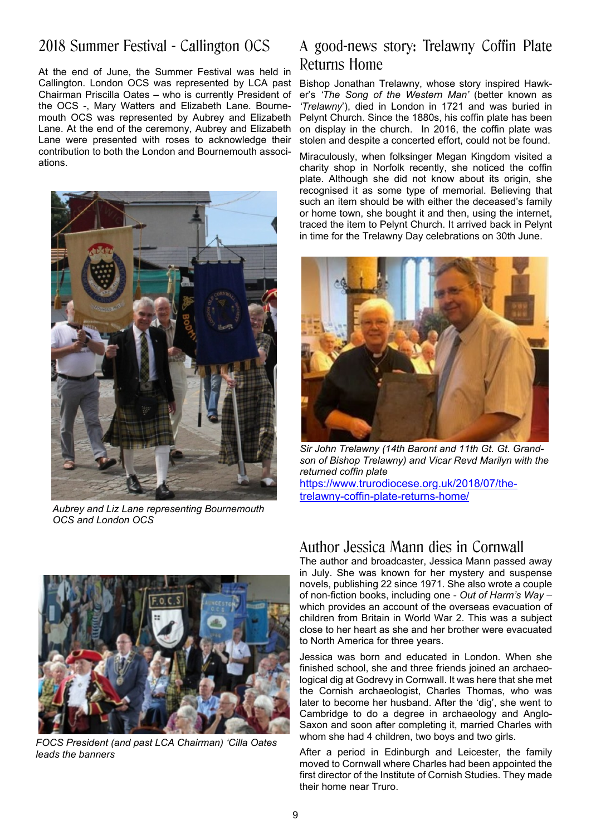### 2018 Summer Festival - Callington OCS

At the end of June, the Summer Festival was held in Callington. London OCS was represented by LCA past Chairman Priscilla Oates – who is currently President of the OCS -, Mary Watters and Elizabeth Lane. Bournemouth OCS was represented by Aubrey and Elizabeth Lane. At the end of the ceremony, Aubrey and Elizabeth Lane were presented with roses to acknowledge their contribution to both the London and Bournemouth associations.



*Aubrey and Liz Lane representing Bournemouth OCS and London OCS*

### A good-news story: Trelawny Coffin Plate Returns Home

Bishop Jonathan Trelawny, whose story inspired Hawker's *'The Song of the Western Man'* (better known as *'Trelawny*'), died in London in 1721 and was buried in Pelynt Church. Since the 1880s, his coffin plate has been on display in the church. In 2016, the coffin plate was stolen and despite a concerted effort, could not be found.

Miraculously, when folksinger Megan Kingdom visited a charity shop in Norfolk recently, she noticed the coffin plate. Although she did not know about its origin, she recognised it as some type of memorial. Believing that such an item should be with either the deceased's family or home town, she bought it and then, using the internet, traced the item to Pelynt Church. It arrived back in Pelynt in time for the Trelawny Day celebrations on 30th June.



*Sir John Trelawny (14th Baront and 11th Gt. Gt. Grandson of Bishop Trelawny) and Vicar Revd Marilyn with the returned coffin plate* https://www.trurodiocese.org.uk/2018/07/thetrelawny-coffin-plate-returns-home/



*FOCS President (and past LCA Chairman) 'Cilla Oates leads the banners*

### Author Jessica Mann dies in Cornwall

The author and broadcaster, Jessica Mann passed away in July. She was known for her mystery and suspense novels, publishing 22 since 1971. She also wrote a couple of non-fiction books, including one - *Out of Harm's Way –* which provides an account of the overseas evacuation of children from Britain in World War 2. This was a subject close to her heart as she and her brother were evacuated to North America for three years.

Jessica was born and educated in London. When she finished school, she and three friends joined an archaeological dig at Godrevy in Cornwall. It was here that she met the Cornish archaeologist, Charles Thomas, who was later to become her husband. After the 'dig', she went to Cambridge to do a degree in archaeology and Anglo-Saxon and soon after completing it, married Charles with whom she had 4 children, two boys and two girls.

After a period in Edinburgh and Leicester, the family moved to Cornwall where Charles had been appointed the first director of the Institute of Cornish Studies. They made their home near Truro.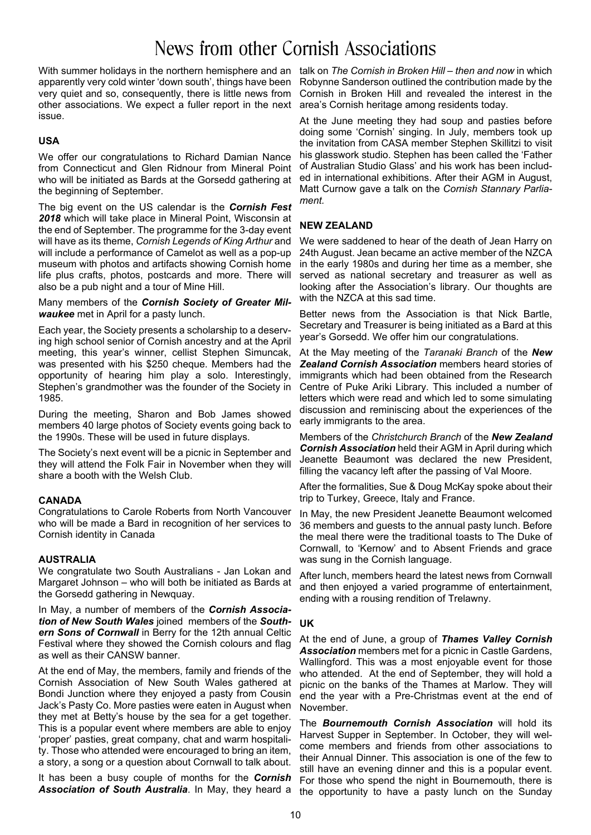# News from other Cornish Associations

With summer holidays in the northern hemisphere and an talk on *The Cornish in Broken Hill – then and now* in which apparently very cold winter 'down south', things have been Robynne Sanderson outlined the contribution made by the very quiet and so, consequently, there is little news from Cornish in Broken Hill and revealed the interest in the other associations. We expect a fuller report in the next area's Cornish heritage among residents today. issue.

#### **USA**

We offer our congratulations to Richard Damian Nance from Connecticut and Glen Ridnour from Mineral Point who will be initiated as Bards at the Gorsedd gathering at the beginning of September.

The big event on the US calendar is the *Cornish Fest 2018* which will take place in Mineral Point, Wisconsin at the end of September. The programme for the 3-day event will have as its theme, *Cornish Legends of King Arthur* and will include a performance of Camelot as well as a pop-up museum with photos and artifacts showing Cornish home life plus crafts, photos, postcards and more. There will also be a pub night and a tour of Mine Hill.

#### Many members of the *Cornish Society of Greater Milwaukee* met in April for a pasty lunch.

Each year, the Society presents a scholarship to a deserving high school senior of Cornish ancestry and at the April meeting, this year's winner, cellist Stephen Simuncak, was presented with his \$250 cheque. Members had the opportunity of hearing him play a solo. Interestingly, Stephen's grandmother was the founder of the Society in 1985.

During the meeting, Sharon and Bob James showed members 40 large photos of Society events going back to the 1990s. These will be used in future displays.

The Society's next event will be a picnic in September and they will attend the Folk Fair in November when they will share a booth with the Welsh Club.

#### **CANADA**

Congratulations to Carole Roberts from North Vancouver who will be made a Bard in recognition of her services to Cornish identity in Canada

#### **AUSTRALIA**

We congratulate two South Australians - Jan Lokan and Margaret Johnson – who will both be initiated as Bards at the Gorsedd gathering in Newquay.

In May, a number of members of the *Cornish Association of New South Wales* joined members of the *Southern Sons of Cornwall* in Berry for the 12th annual Celtic Festival where they showed the Cornish colours and flag as well as their CANSW banner.

At the end of May, the members, family and friends of the Cornish Association of New South Wales gathered at Bondi Junction where they enjoyed a pasty from Cousin Jack's Pasty Co. More pasties were eaten in August when they met at Betty's house by the sea for a get together. This is a popular event where members are able to enjoy 'proper' pasties, great company, chat and warm hospitality. Those who attended were encouraged to bring an item, a story, a song or a question about Cornwall to talk about.

It has been a busy couple of months for the *Cornish Association of South Australia*. In May, they heard a

At the June meeting they had soup and pasties before doing some 'Cornish' singing. In July, members took up the invitation from CASA member Stephen Skillitzi to visit his glasswork studio. Stephen has been called the 'Father of Australian Studio Glass' and his work has been included in international exhibitions. After their AGM in August, Matt Curnow gave a talk on the *Cornish Stannary Parliament.*

#### **NEW ZEALAND**

We were saddened to hear of the death of Jean Harry on 24th August. Jean became an active member of the NZCA in the early 1980s and during her time as a member, she served as national secretary and treasurer as well as looking after the Association's library. Our thoughts are with the NZCA at this sad time.

Better news from the Association is that Nick Bartle, Secretary and Treasurer is being initiated as a Bard at this year's Gorsedd. We offer him our congratulations.

At the May meeting of the *Taranaki Branch* of the *New Zealand Cornish Association* members heard stories of immigrants which had been obtained from the Research Centre of Puke Ariki Library. This included a number of letters which were read and which led to some simulating discussion and reminiscing about the experiences of the early immigrants to the area.

Members of the *Christchurch Branch* of the *New Zealand Cornish Association* held their AGM in April during which Jeanette Beaumont was declared the new President, filling the vacancy left after the passing of Val Moore.

After the formalities, Sue & Doug McKay spoke about their trip to Turkey, Greece, Italy and France.

In May, the new President Jeanette Beaumont welcomed 36 members and guests to the annual pasty lunch. Before the meal there were the traditional toasts to The Duke of Cornwall, to 'Kernow' and to Absent Friends and grace was sung in the Cornish language.

After lunch, members heard the latest news from Cornwall and then enjoyed a varied programme of entertainment, ending with a rousing rendition of Trelawny.

#### **UK**

At the end of June, a group of *Thames Valley Cornish Association* members met for a picnic in Castle Gardens, Wallingford. This was a most enjoyable event for those who attended. At the end of September, they will hold a picnic on the banks of the Thames at Marlow. They will end the year with a Pre-Christmas event at the end of November.

The *Bournemouth Cornish Association* will hold its Harvest Supper in September. In October, they will welcome members and friends from other associations to their Annual Dinner. This association is one of the few to still have an evening dinner and this is a popular event. For those who spend the night in Bournemouth, there is the opportunity to have a pasty lunch on the Sunday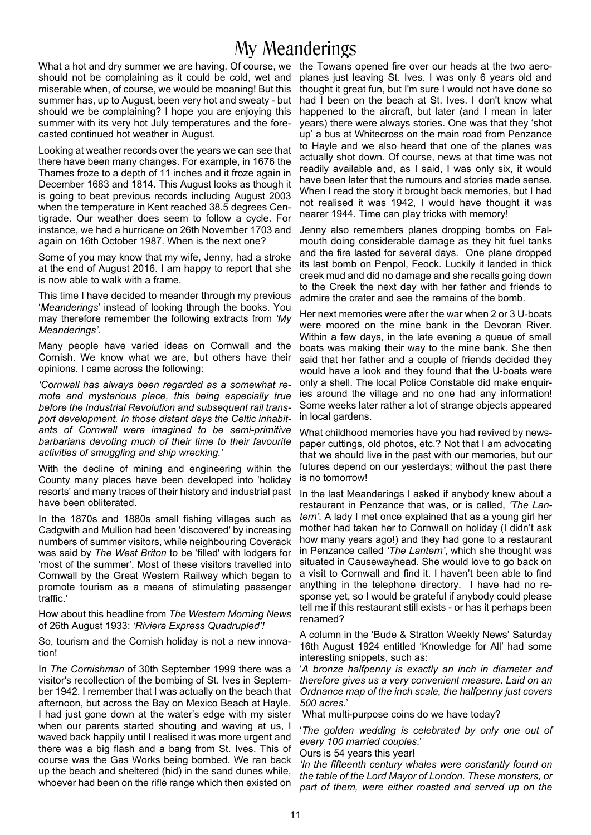### My Meanderings

What a hot and dry summer we are having. Of course, we should not be complaining as it could be cold, wet and miserable when, of course, we would be moaning! But this summer has, up to August, been very hot and sweaty - but should we be complaining? I hope you are enjoying this summer with its very hot July temperatures and the forecasted continued hot weather in August.

Looking at weather records over the years we can see that there have been many changes. For example, in 1676 the Thames froze to a depth of 11 inches and it froze again in December 1683 and 1814. This August looks as though it is going to beat previous records including August 2003 when the temperature in Kent reached 38.5 degrees Centigrade. Our weather does seem to follow a cycle. For instance, we had a hurricane on 26th November 1703 and again on 16th October 1987. When is the next one?

Some of you may know that my wife, Jenny, had a stroke at the end of August 2016. I am happy to report that she is now able to walk with a frame.

This time I have decided to meander through my previous '*Meanderings*' instead of looking through the books. You may therefore remember the following extracts from *'My Meanderings'.*

Many people have varied ideas on Cornwall and the Cornish. We know what we are, but others have their opinions. I came across the following:

*'Cornwall has always been regarded as a somewhat remote and mysterious place, this being especially true before the Industrial Revolution and subsequent rail transport development. In those distant days the Celtic inhabitants of Cornwall were imagined to be semi-primitive barbarians devoting much of their time to their favourite activities of smuggling and ship wrecking.'*

With the decline of mining and engineering within the County many places have been developed into 'holiday resorts' and many traces of their history and industrial past have been obliterated.

In the 1870s and 1880s small fishing villages such as Cadgwith and Mullion had been 'discovered' by increasing numbers of summer visitors, while neighbouring Coverack was said by *The West Briton* to be 'filled' with lodgers for 'most of the summer'. Most of these visitors travelled into Cornwall by the Great Western Railway which began to promote tourism as a means of stimulating passenger traffic.'

How about this headline from *The Western Morning News* of 26th August 1933: *'Riviera Express Quadrupled'!*

So, tourism and the Cornish holiday is not a new innovation!

In *The Cornishman* of 30th September 1999 there was a visitor's recollection of the bombing of St. Ives in September 1942. I remember that I was actually on the beach that afternoon, but across the Bay on Mexico Beach at Hayle. I had just gone down at the water's edge with my sister when our parents started shouting and waving at us, I waved back happily until I realised it was more urgent and there was a big flash and a bang from St. Ives. This of course was the Gas Works being bombed. We ran back up the beach and sheltered (hid) in the sand dunes while, whoever had been on the rifle range which then existed on

the Towans opened fire over our heads at the two aeroplanes just leaving St. Ives. I was only 6 years old and thought it great fun, but I'm sure I would not have done so had I been on the beach at St. Ives. I don't know what happened to the aircraft, but later (and I mean in later years) there were always stories. One was that they 'shot up' a bus at Whitecross on the main road from Penzance to Hayle and we also heard that one of the planes was actually shot down. Of course, news at that time was not readily available and, as I said, I was only six, it would have been later that the rumours and stories made sense. When I read the story it brought back memories, but I had not realised it was 1942, I would have thought it was nearer 1944. Time can play tricks with memory!

Jenny also remembers planes dropping bombs on Falmouth doing considerable damage as they hit fuel tanks and the fire lasted for several days. One plane dropped its last bomb on Penpol, Feock. Luckily it landed in thick creek mud and did no damage and she recalls going down to the Creek the next day with her father and friends to admire the crater and see the remains of the bomb.

Her next memories were after the war when 2 or 3 U-boats were moored on the mine bank in the Devoran River. Within a few days, in the late evening a queue of small boats was making their way to the mine bank. She then said that her father and a couple of friends decided they would have a look and they found that the U-boats were only a shell. The local Police Constable did make enquiries around the village and no one had any information! Some weeks later rather a lot of strange objects appeared in local gardens.

What childhood memories have you had revived by newspaper cuttings, old photos, etc.? Not that I am advocating that we should live in the past with our memories, but our futures depend on our yesterdays; without the past there is no tomorrow!

In the last Meanderings I asked if anybody knew about a restaurant in Penzance that was, or is called, *'The Lantern'.* A lady I met once explained that as a young girl her mother had taken her to Cornwall on holiday (I didn't ask how many years ago!) and they had gone to a restaurant in Penzance called *'The Lantern'*, which she thought was situated in Causewayhead. She would love to go back on a visit to Cornwall and find it. I haven't been able to find anything in the telephone directory. I have had no response yet, so I would be grateful if anybody could please tell me if this restaurant still exists - or has it perhaps been renamed?

A column in the 'Bude & Stratton Weekly News' Saturday 16th August 1924 entitled 'Knowledge for All' had some interesting snippets, such as:

'*A bronze halfpenny is exactly an inch in diameter and therefore gives us a very convenient measure. Laid on an Ordnance map of the inch scale, the halfpenny just covers 500 acres*.'

What multi-purpose coins do we have today?

'*The golden wedding is celebrated by only one out of every 100 married couples*.'

Ours is 54 years this year!

*'In the fifteenth century whales were constantly found on the table of the Lord Mayor of London. These monsters, or part of them, were either roasted and served up on the*